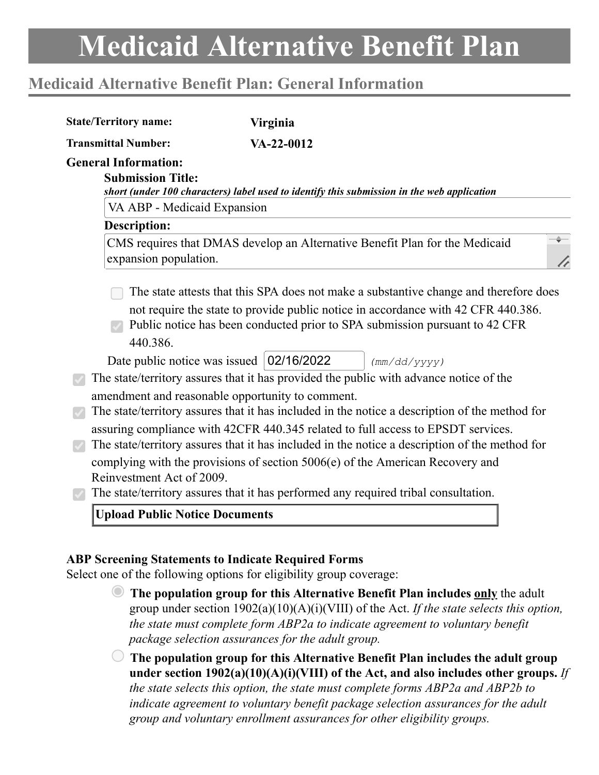# **Medicaid Alternative Benefit Plan: General Information**

| <b>State/Territory name:</b>                            | <b>Virginia</b>                                                                                                                                                  |  |
|---------------------------------------------------------|------------------------------------------------------------------------------------------------------------------------------------------------------------------|--|
| <b>Transmittal Number:</b>                              | VA-22-0012                                                                                                                                                       |  |
| <b>General Information:</b><br><b>Submission Title:</b> |                                                                                                                                                                  |  |
|                                                         | short (under 100 characters) label used to identify this submission in the web application                                                                       |  |
| VA ABP - Medicaid Expansion                             |                                                                                                                                                                  |  |
| <b>Description:</b>                                     |                                                                                                                                                                  |  |
| expansion population.                                   | CMS requires that DMAS develop an Alternative Benefit Plan for the Medicaid                                                                                      |  |
|                                                         | The state attests that this SPA does not make a substantive change and therefore does                                                                            |  |
| 440.386.                                                | not require the state to provide public notice in accordance with 42 CFR 440.386.<br>Public notice has been conducted prior to SPA submission pursuant to 42 CFR |  |
|                                                         | Date public notice was issued   02/16/2022<br>(mm/dd/yyyy)                                                                                                       |  |
|                                                         | The state/territory assures that it has provided the public with advance notice of the                                                                           |  |
|                                                         | amendment and reasonable opportunity to comment.                                                                                                                 |  |
|                                                         | The state/territory assures that it has included in the notice a description of the method for                                                                   |  |
|                                                         | assuring compliance with 42CFR 440.345 related to full access to EPSDT services.                                                                                 |  |
|                                                         | The state/territory assures that it has included in the notice a description of the method for                                                                   |  |
|                                                         | complying with the provisions of section 5006(e) of the American Recovery and                                                                                    |  |
| Reinvestment Act of 2009.                               | The state/territory assures that it has performed any required tribal consultation.                                                                              |  |
|                                                         |                                                                                                                                                                  |  |
| <b>Upload Public Notice Documents</b>                   |                                                                                                                                                                  |  |
|                                                         |                                                                                                                                                                  |  |
|                                                         | <b>ABP Screening Statements to Indicate Required Forms</b>                                                                                                       |  |
|                                                         | Select one of the following options for eligibility group coverage:                                                                                              |  |

**The population group for this Alternative Benefit Plan includes only** the adult group under section 1902(a)(10)(A)(i)(VIII) of the Act. *If the state selects this option, the state must complete form ABP2a to indicate agreement to voluntary benefit package selection assurances for the adult group.*

**The population group for this Alternative Benefit Plan includes the adult group under section 1902(a)(10)(A)(i)(VIII) of the Act, and also includes other groups.** *If the state selects this option, the state must complete forms ABP2a and ABP2b to indicate agreement to voluntary benefit package selection assurances for the adult group and voluntary enrollment assurances for other eligibility groups.*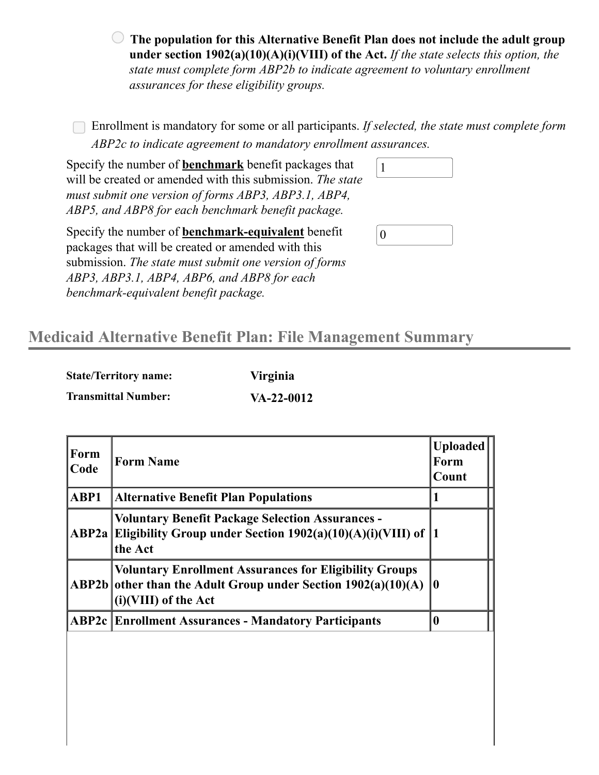**The population for this Alternative Benefit Plan does not include the adult group under section 1902(a)(10)(A)(i)(VIII) of the Act.** *If the state selects this option, the state must complete form ABP2b to indicate agreement to voluntary enrollment assurances for these eligibility groups.*

Enrollment is mandatory for some or all participants. *If selected, the state must complete form ABP2c to indicate agreement to mandatory enrollment assurances.*

Specify the number of **benchmark** benefit packages that will be created or amended with this submission. *The state must submit one version of forms ABP3, ABP3.1, ABP4, ABP5, and ABP8 for each benchmark benefit package.*  $\sqrt{1}$ 

Specify the number of **benchmark-equivalent** benefit packages that will be created or amended with this submission. *The state must submit one version of forms ABP3, ABP3.1, ABP4, ABP6, and ABP8 for each benchmark-equivalent benefit package.*

| ч.               |  |  |
|------------------|--|--|
|                  |  |  |
|                  |  |  |
|                  |  |  |
|                  |  |  |
| $\boldsymbol{0}$ |  |  |

## **Medicaid Alternative Benefit Plan: File Management Summary**

| <b>State/Territory name:</b> | Virginia     |
|------------------------------|--------------|
| <b>Transmittal Number:</b>   | $VA-22-0012$ |

| Form<br>Code | <b>Form Name</b>                                                                                                                                          | <b>Uploaded</b><br>Form<br>Count |
|--------------|-----------------------------------------------------------------------------------------------------------------------------------------------------------|----------------------------------|
| ABP1         | <b>Alternative Benefit Plan Populations</b>                                                                                                               | 1                                |
| ABP2a        | <b>Voluntary Benefit Package Selection Assurances -</b><br>Eligibility Group under Section $1902(a)(10)(A)(i)(VIII)$ of  1<br>the Act                     |                                  |
|              | <b>Voluntary Enrollment Assurances for Eligibility Groups</b><br>ABP2b other than the Adult Group under Section $1902(a)(10)(A)$<br>(i) (VIII) of the Act | $\bf{0}$                         |
|              | <b>ABP2c   Enrollment Assurances - Mandatory Participants</b>                                                                                             | $\boldsymbol{0}$                 |
|              |                                                                                                                                                           |                                  |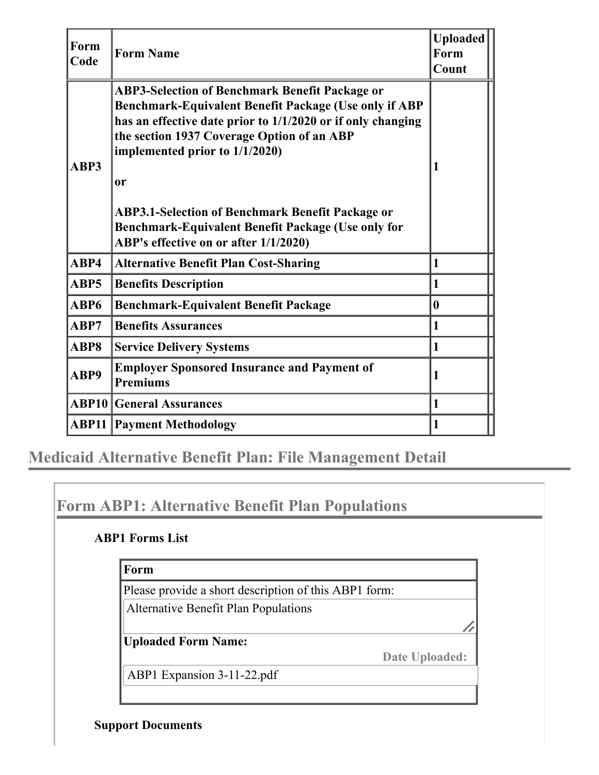| Form<br>Code | <b>Form Name</b>                                                                                                                                                                                                                                                                                                                                                                                                              | <b>Uploaded</b><br>Form<br>Count |
|--------------|-------------------------------------------------------------------------------------------------------------------------------------------------------------------------------------------------------------------------------------------------------------------------------------------------------------------------------------------------------------------------------------------------------------------------------|----------------------------------|
| ABP3         | <b>ABP3-Selection of Benchmark Benefit Package or</b><br>Benchmark-Equivalent Benefit Package (Use only if ABP<br>has an effective date prior to 1/1/2020 or if only changing<br>the section 1937 Coverage Option of an ABP<br>implemented prior to 1/1/2020)<br>or<br><b>ABP3.1-Selection of Benchmark Benefit Package or</b><br>Benchmark-Equivalent Benefit Package (Use only for<br>ABP's effective on or after 1/1/2020) |                                  |
| ABP4         | <b>Alternative Benefit Plan Cost-Sharing</b>                                                                                                                                                                                                                                                                                                                                                                                  | 1                                |
| ABP5         | <b>Benefits Description</b>                                                                                                                                                                                                                                                                                                                                                                                                   | 1                                |
| ABP6         | <b>Benchmark-Equivalent Benefit Package</b>                                                                                                                                                                                                                                                                                                                                                                                   | $\mathbf{0}$                     |
| ABP7         | <b>Benefits Assurances</b>                                                                                                                                                                                                                                                                                                                                                                                                    | $\mathbf{1}$                     |
| ABP8         | <b>Service Delivery Systems</b>                                                                                                                                                                                                                                                                                                                                                                                               | $\vert$ 1                        |
| ABP9         | <b>Employer Sponsored Insurance and Payment of</b><br><b>Premiums</b>                                                                                                                                                                                                                                                                                                                                                         | 1                                |
|              | <b>ABP10 General Assurances</b>                                                                                                                                                                                                                                                                                                                                                                                               | $\mathbf{1}$                     |
|              | <b>ABP11   Payment Methodology</b>                                                                                                                                                                                                                                                                                                                                                                                            | $\vert$ 1                        |

**Medicaid Alternative Benefit Plan: File Management Detail**

# **Form ABP1: Alternative Benefit Plan Populations**

### **ABP1 Forms List**

#### **Form**

Please provide a short description of this ABP1 form:

Alternative Benefit Plan Populations

**Uploaded Form Name:**

**Date Uploaded:**

ABP1 Expansion 3-11-22.pdf

### **Support Documents**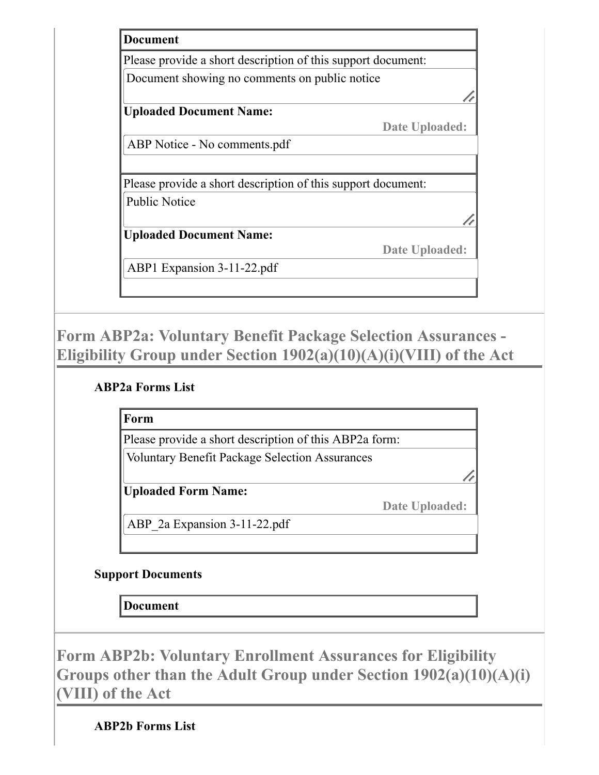| Please provide a short description of this support document: |                |
|--------------------------------------------------------------|----------------|
| Document showing no comments on public notice                |                |
|                                                              |                |
| <b>Uploaded Document Name:</b>                               |                |
|                                                              | Date Uploaded: |
| ABP Notice - No comments.pdf                                 |                |
|                                                              |                |
| Please provide a short description of this support document: |                |
| <b>Public Notice</b>                                         |                |
|                                                              |                |
| <b>Uploaded Document Name:</b>                               |                |
|                                                              | Date Uploaded: |
| ABP1 Expansion 3-11-22.pdf                                   |                |
|                                                              |                |

**Form ABP2a: Voluntary Benefit Package Selection Assurances - Eligibility Group under Section 1902(a)(10)(A)(i)(VIII) of the Act**

### **ABP2a Forms List**

**Form**

Please provide a short description of this ABP2a form:

Voluntary Benefit Package Selection Assurances

**Uploaded Form Name:**

**Date Uploaded:**

ABP\_2a Expansion 3-11-22.pdf

### **Support Documents**

**Document**

**Form ABP2b: Voluntary Enrollment Assurances for Eligibility Groups other than the Adult Group under Section 1902(a)(10)(A)(i) (VIII) of the Act**

**ABP2b Forms List**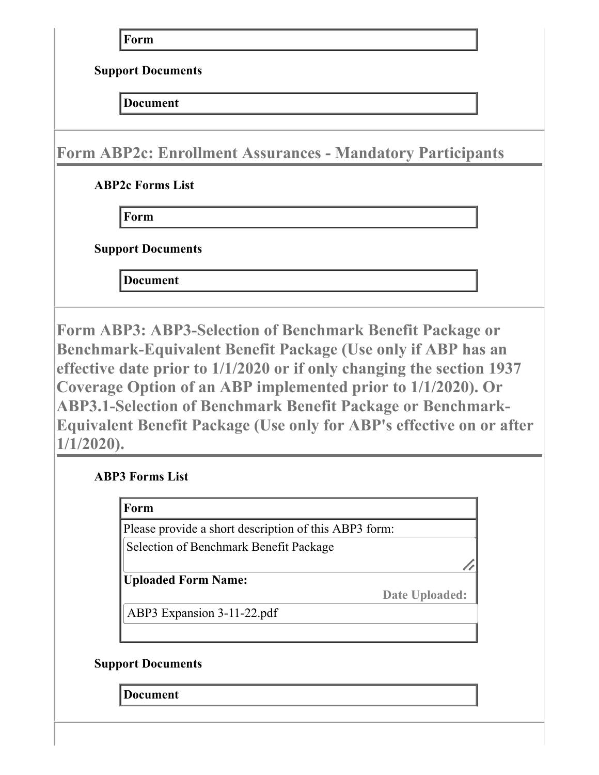**Form**

**Support Documents**

**Document**

**Form ABP2c: Enrollment Assurances - Mandatory Participants**

**ABP2c Forms List**

**Form**

**Support Documents**

**Document**

**Form ABP3: ABP3-Selection of Benchmark Benefit Package or Benchmark-Equivalent Benefit Package (Use only if ABP has an effective date prior to 1/1/2020 or if only changing the section 1937 Coverage Option of an ABP implemented prior to 1/1/2020). Or ABP3.1-Selection of Benchmark Benefit Package or Benchmark-Equivalent Benefit Package (Use only for ABP's effective on or after 1/1/2020).**

**ABP3 Forms List**

| Form                                                  |  |
|-------------------------------------------------------|--|
| Please provide a short description of this ABP3 form: |  |
| Selection of Benchmark Benefit Package                |  |
| <b>Uploaded Form Name:</b>                            |  |

**Date Uploaded:**

ABP3 Expansion 3-11-22.pdf

### **Support Documents**

**Document**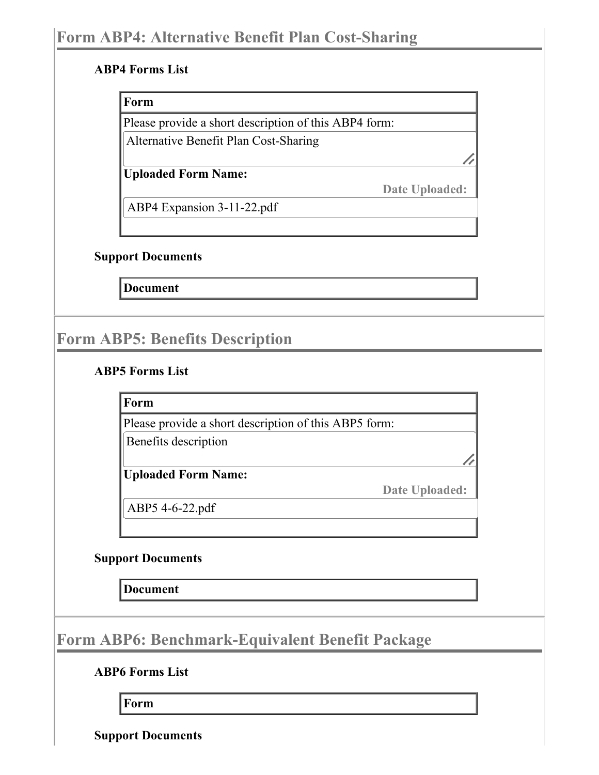#### **ABP4 Forms List**

#### **Form**

Please provide a short description of this ABP4 form:

Alternative Benefit Plan Cost-Sharing

**Uploaded Form Name:**

**Date Uploaded:**

//

ABP4 Expansion 3-11-22.pdf

#### **Support Documents**

**Document**

# **Form ABP5: Benefits Description**

#### **ABP5 Forms List**

**Form**

Please provide a short description of this ABP5 form:

Benefits description

**Uploaded Form Name:**

**Date Uploaded:**

ABP5 4-6-22.pdf

### **Support Documents**

**Document**

**Form ABP6: Benchmark-Equivalent Benefit Package**

**ABP6 Forms List**

**Form**

**Support Documents**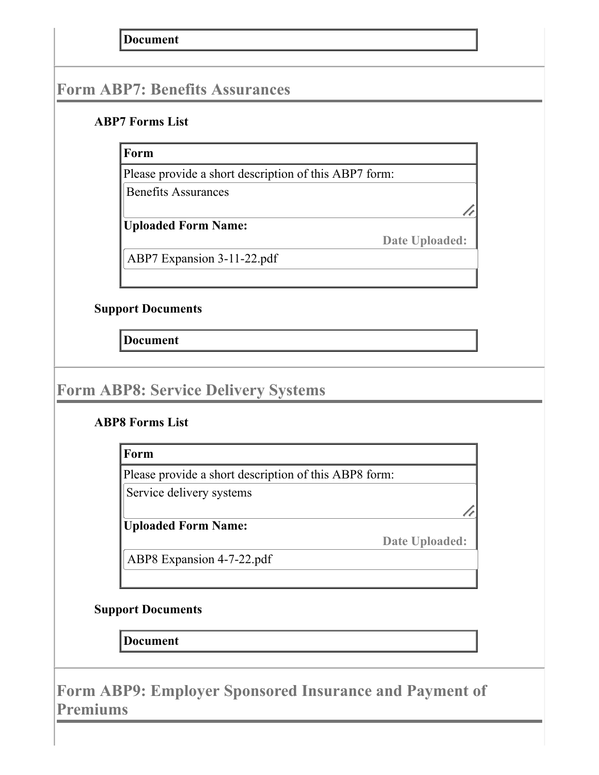**Document**

## **Form ABP7: Benefits Assurances**

#### **ABP7 Forms List**

### **Form**

Please provide a short description of this ABP7 form:

Benefits Assurances

**Uploaded Form Name:**

**Date Uploaded:**

ABP7 Expansion 3-11-22.pdf

### **Support Documents**

**Document**

## **Form ABP8: Service Delivery Systems**

### **ABP8 Forms List**

**Form**

Please provide a short description of this ABP8 form:

Service delivery systems

**Uploaded Form Name:**

**Date Uploaded:**

ABP8 Expansion 4-7-22.pdf

### **Support Documents**

**Document**

**Form ABP9: Employer Sponsored Insurance and Payment of Premiums**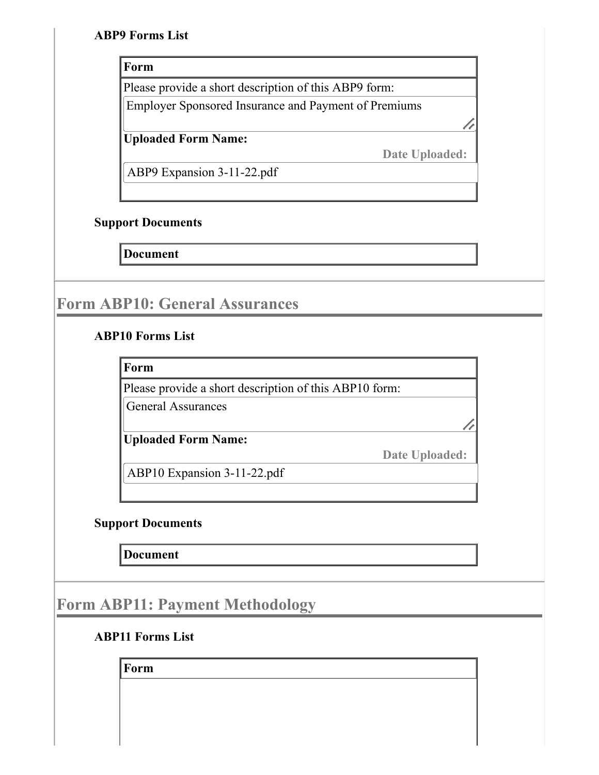#### **ABP9 Forms List**

#### **Form**

Please provide a short description of this ABP9 form:

Employer Sponsored Insurance and Payment of Premiums

//

**Uploaded Form Name:**

**Date Uploaded:**

ABP9 Expansion 3-11-22.pdf

### **Support Documents**

**Document**

## **Form ABP10: General Assurances**

### **ABP10 Forms List**

**Form**

Please provide a short description of this ABP10 form:

General Assurances

**Uploaded Form Name:**

**Date Uploaded:**

//

ABP10 Expansion 3-11-22.pdf

### **Support Documents**

**Document**

## **Form ABP11: Payment Methodology**

### **ABP11 Forms List**

**Form**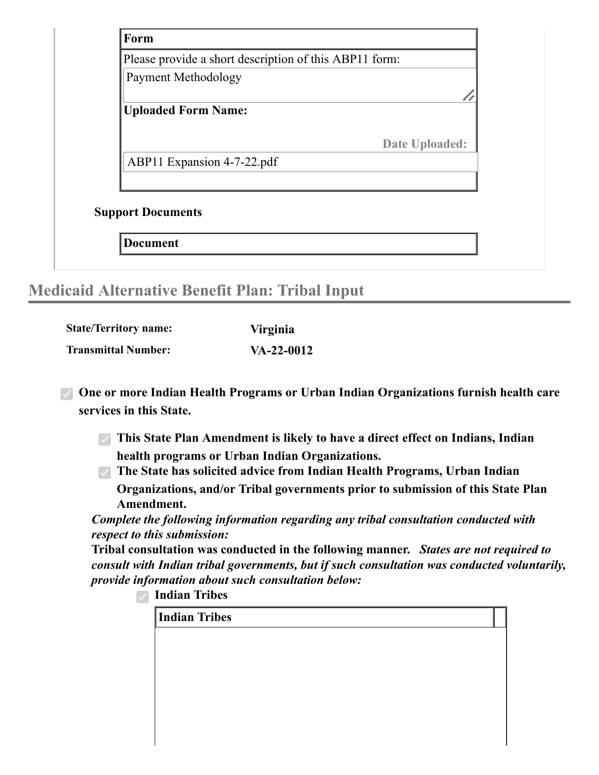

## **Medicaid Alternative Benefit Plan: Tribal Input**

| <b>State/Territory name:</b> | <b>Virginia</b> |
|------------------------------|-----------------|
| <b>Transmittal Number:</b>   | $VA-22-0012$    |

**One or more Indian Health Programs or Urban Indian Organizations furnish health care services in this State.**

**This State Plan Amendment is likely to have a direct effect on Indians, Indian health programs or Urban Indian Organizations.**

**The State has solicited advice from Indian Health Programs, Urban Indian Organizations, and/or Tribal governments prior to submission of this State Plan Amendment.**

*Complete the following information regarding any tribal consultation conducted with respect to this submission:*

**Tribal consultation was conducted in the following manner.** *States are not required to consult with Indian tribal governments, but if such consultation was conducted voluntarily, provide information about such consultation below:*

**Indian Tribes**

**Indian Tribes**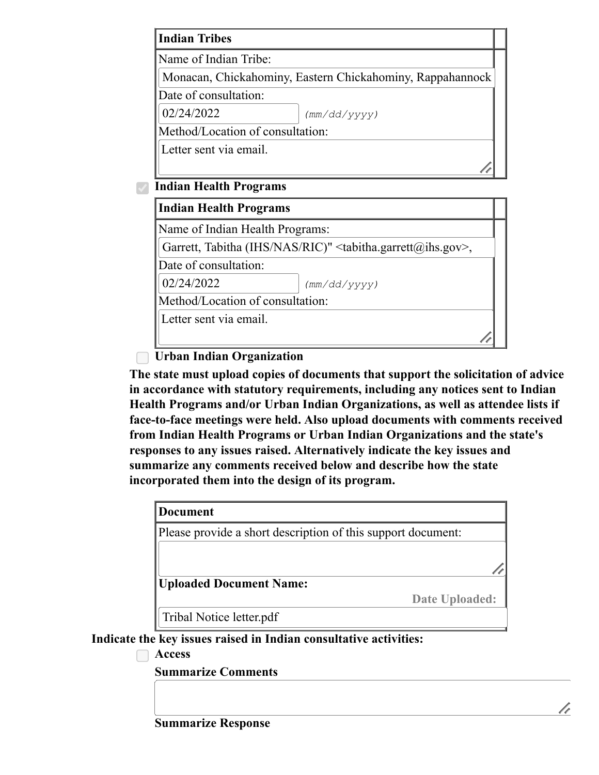| <b>Indian Tribes</b>             |                                                           |
|----------------------------------|-----------------------------------------------------------|
| Name of Indian Tribe:            |                                                           |
|                                  | Monacan, Chickahominy, Eastern Chickahominy, Rappahannock |
| Date of consultation:            |                                                           |
| 02/24/2022                       | (mm/dd/yyyy)                                              |
| Method/Location of consultation: |                                                           |
| Letter sent via email.           |                                                           |
|                                  |                                                           |

**Indian Health Programs**

| Indian Health Programs           |                                                             |
|----------------------------------|-------------------------------------------------------------|
| Name of Indian Health Programs:  |                                                             |
|                                  | Garrett, Tabitha (IHS/NAS/RIC)" < tabitha.garrett@ihs.gov>, |
| Date of consultation:            |                                                             |
| 02/24/2022                       | (mm/dd/yyyy)                                                |
| Method/Location of consultation: |                                                             |
| Letter sent via email.           |                                                             |
|                                  |                                                             |

**Urban Indian Organization**

**The state must upload copies of documents that support the solicitation of advice in accordance with statutory requirements, including any notices sent to Indian Health Programs and/or Urban Indian Organizations, as well as attendee lists if face-to-face meetings were held. Also upload documents with comments received from Indian Health Programs or Urban Indian Organizations and the state's responses to any issues raised. Alternatively indicate the key issues and summarize any comments received below and describe how the state incorporated them into the design of its program.**

| Document                                                     |                |
|--------------------------------------------------------------|----------------|
| Please provide a short description of this support document: |                |
|                                                              |                |
|                                                              |                |
| <b>Uploaded Document Name:</b>                               |                |
|                                                              | Date Uploaded: |
| Tribal Notice letter.pdf                                     |                |

**Indicate the key issues raised in Indian consultative activities:**

**Access**

**Summarize Comments**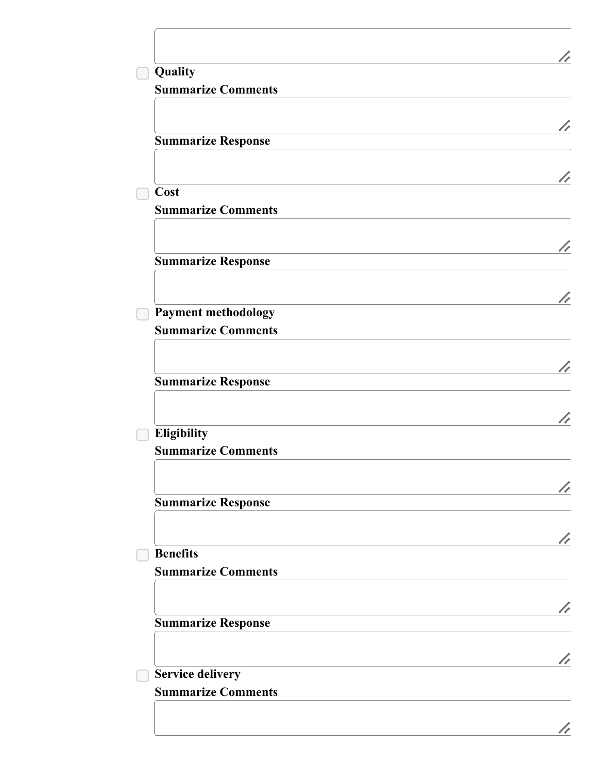| Quality                                              |  |
|------------------------------------------------------|--|
| <b>Summarize Comments</b>                            |  |
|                                                      |  |
| <b>Summarize Response</b>                            |  |
| Cost                                                 |  |
| <b>Summarize Comments</b>                            |  |
|                                                      |  |
| <b>Summarize Response</b>                            |  |
| <b>Payment methodology</b>                           |  |
| <b>Summarize Comments</b>                            |  |
| <b>Summarize Response</b>                            |  |
|                                                      |  |
| Eligibility                                          |  |
| <b>Summarize Comments</b>                            |  |
| <b>Summarize Response</b>                            |  |
|                                                      |  |
| <b>Benefits</b><br><b>Summarize Comments</b>         |  |
|                                                      |  |
| <b>Summarize Response</b>                            |  |
|                                                      |  |
| <b>Service delivery</b><br><b>Summarize Comments</b> |  |
|                                                      |  |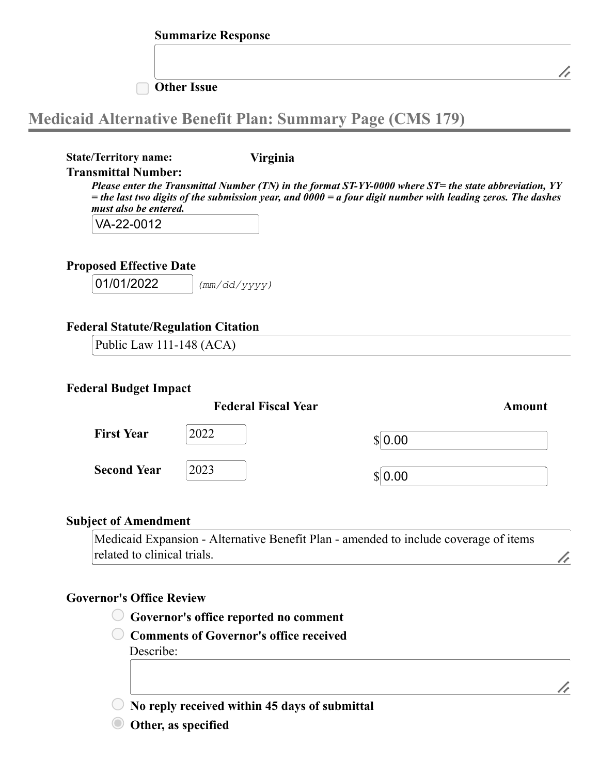#### **Other Issue**

# **Medicaid Alternative Benefit Plan: Summary Page (CMS 179)**

**State/Territory name: Virginia**

#### **Transmittal Number:**

*Please enter the Transmittal Number (TN) in the format ST-YY-0000 where ST= the state abbreviation, YY* = the last two digits of the submission year, and  $0000 = a$  four digit number with leading zeros. The dashes *must also be entered.*

VA-22-0012

#### **Proposed Effective Date**

01/01/2022 *(mm/dd/yyyy)*

#### **Federal Statute/Regulation Citation**

Public Law 111-148 (ACA)

#### **Federal Budget Impact**

|                    | <b>Federal Fiscal Year</b> |         | Amount |
|--------------------|----------------------------|---------|--------|
| <b>First Year</b>  | 2022                       | \$ 0.00 |        |
| <b>Second Year</b> | 2023                       | \$ 0.00 |        |

#### **Subject of Amendment**

Medicaid Expansion - Alternative Benefit Plan - amended to include coverage of items related to clinical trials.

#### **Governor's Office Review**

**Governor's office reported no comment**

**Comments of Governor's office received** Describe:

**No reply received within 45 days of submittal**

**Other, as specified**

//

//